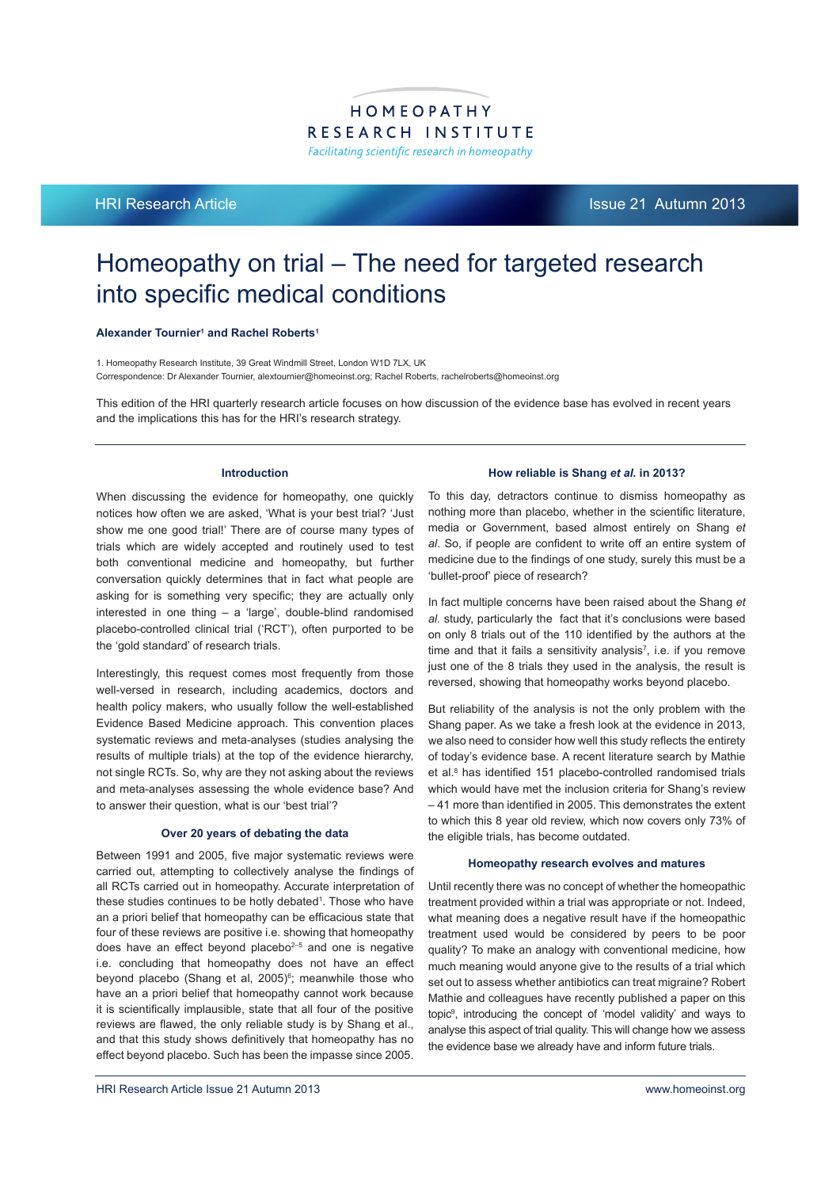# HOMEOPATHY RESEARCH INSTITUTE Facilitating scientific research in homeopathy

HRI Research Article Issue 21 Autumn 2013

# Homeopathy on trial – The need for targeted research into specific medical conditions

#### Alexander Tournier<sup>1</sup> and Rachel Roberts<sup>1</sup>

1. Homeopathy Research Institute, 39 Great Windmill Street, London W1D 7LX, UK Correspondence: Dr Alexander Tournier, alextournier@homeoinst.org; Rachel Roberts, rachelroberts@homeoinst.org

This edition of the HRI quarterly research article focuses on how discussion of the evidence base has evolved in recent years and the implications this has for the HRI's research strategy.

## **Introduction**

When discussing the evidence for homeopathy, one quickly notices how often we are asked, 'What is your best trial? 'Just show me one good trial!' There are of course many types of trials which are widely accepted and routinely used to test both conventional medicine and homeopathy, but further conversation quickly determines that in fact what people are asking for is something very specific; they are actually only interested in one thing – a 'large', double-blind randomised placebo-controlled clinical trial ('RCT'), often purported to be the 'gold standard' of research trials.

Interestingly, this request comes most frequently from those well-versed in research, including academics, doctors and health policy makers, who usually follow the well-established Evidence Based Medicine approach. This convention places systematic reviews and meta-analyses (studies analysing the results of multiple trials) at the top of the evidence hierarchy, not single RCTs. So, why are they not asking about the reviews and meta-analyses assessing the whole evidence base? And to answer their question, what is our 'best trial'?

#### **Over 20 years of debating the data**

Between 1991 and 2005, five major systematic reviews were carried out, attempting to collectively analyse the findings of all RCTs carried out in homeopathy. Accurate interpretation of these studies continues to be hotly debated<sup>1</sup>. Those who have an a priori belief that homeopathy can be efficacious state that four of these reviews are positive i.e. showing that homeopathy does have an effect beyond placebo<sup>2-5</sup> and one is negative i.e. concluding that homeopathy does not have an effect beyond placebo (Shang et al, 2005)<sup>6</sup>; meanwhile those who have an a priori belief that homeopathy cannot work because it is scientifically implausible, state that all four of the positive reviews are flawed, the only reliable study is by Shang et al., and that this study shows definitively that homeopathy has no effect beyond placebo. Such has been the impasse since 2005.

#### **How reliable is Shang** *et al.* **in 2013?**

To this day, detractors continue to dismiss homeopathy as nothing more than placebo, whether in the scientific literature, media or Government, based almost entirely on Shang *et*  al. So, if people are confident to write off an entire system of medicine due to the findings of one study, surely this must be a 'bullet-proof' piece of research?

In fact multiple concerns have been raised about the Shang *et al.* study, particularly the fact that it's conclusions were based on only 8 trials out of the 110 identified by the authors at the time and that it fails a sensitivity analysis<sup>7</sup>, i.e. if you remove just one of the 8 trials they used in the analysis, the result is reversed, showing that homeopathy works beyond placebo.

But reliability of the analysis is not the only problem with the Shang paper. As we take a fresh look at the evidence in 2013, we also need to consider how well this study reflects the entirety of today's evidence base. A recent literature search by Mathie et al.<sup>8</sup> has identified 151 placebo-controlled randomised trials which would have met the inclusion criteria for Shang's review -41 more than identified in 2005. This demonstrates the extent to which this 8 year old review, which now covers only 73% of the eligible trials, has become outdated.

#### **Homeopathy research evolves and matures**

Until recently there was no concept of whether the homeopathic treatment provided within a trial was appropriate or not. Indeed, what meaning does a negative result have if the homeopathic treatment used would be considered by peers to be poor quality? To make an analogy with conventional medicine, how much meaning would anyone give to the results of a trial which set out to assess whether antibiotics can treat migraine? Robert Mathie and colleagues have recently published a paper on this topic9 , introducing the concept of 'model validity' and ways to analyse this aspect of trial quality. This will change how we assess the evidence base we already have and inform future trials.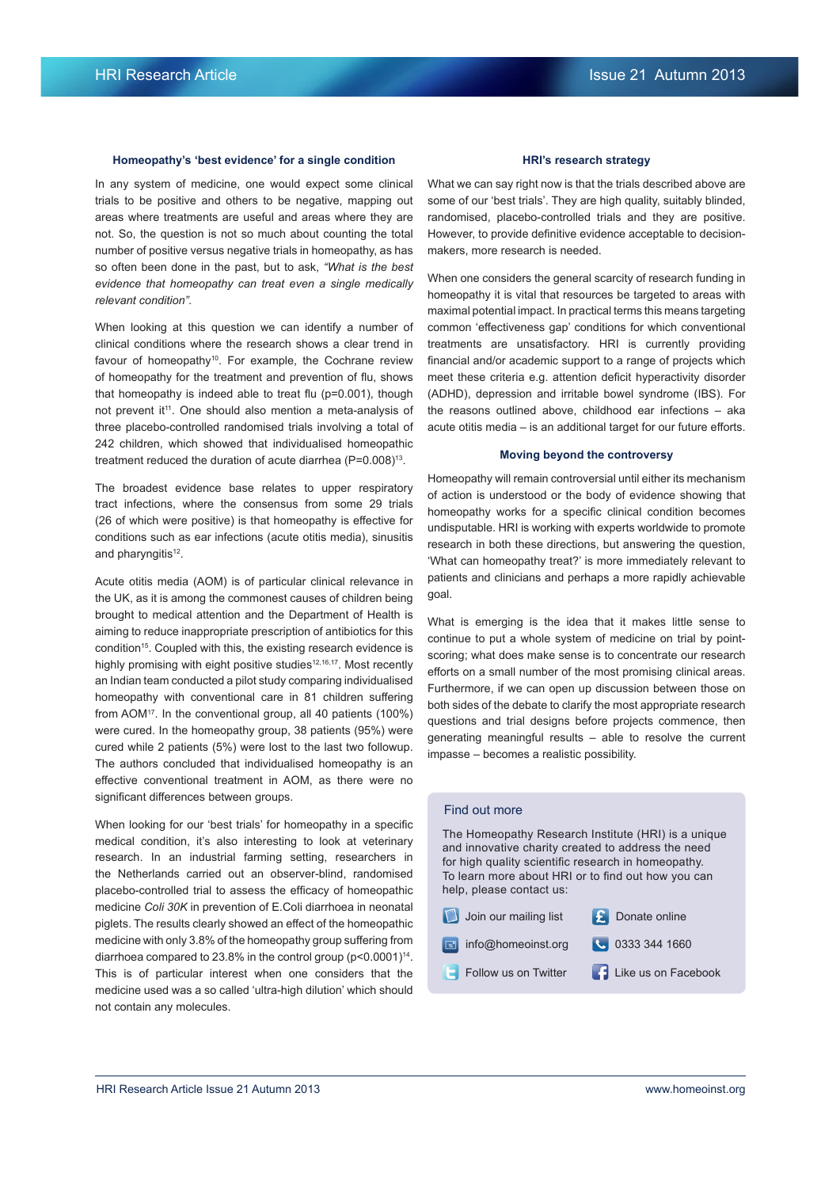#### **Homeopathy's 'best evidence' for a single condition**

In any system of medicine, one would expect some clinical trials to be positive and others to be negative, mapping out areas where treatments are useful and areas where they are not. So, the question is not so much about counting the total number of positive versus negative trials in homeopathy, as has so often been done in the past, but to ask, *"What is the best evidence that homeopathy can treat even a single medically relevant condition".* 

When looking at this question we can identify a number of clinical conditions where the research shows a clear trend in favour of homeopathy<sup>10</sup>. For example, the Cochrane review of homeopathy for the treatment and prevention of flu, shows that homeopathy is indeed able to treat flu ( $p=0.001$ ), though not prevent it<sup>11</sup>. One should also mention a meta-analysis of three placebo-controlled randomised trials involving a total of 242 children, which showed that individualised homeopathic treatment reduced the duration of acute diarrhea  $(P=0.008)^{13}$ .

The broadest evidence base relates to upper respiratory tract infections, where the consensus from some 29 trials (26 of which were positive) is that homeopathy is effective for conditions such as ear infections (acute otitis media), sinusitis and pharyngitis<sup>12</sup>.

Acute otitis media (AOM) is of particular clinical relevance in the UK, as it is among the commonest causes of children being brought to medical attention and the Department of Health is aiming to reduce inappropriate prescription of antibiotics for this condition<sup>15</sup>. Coupled with this, the existing research evidence is highly promising with eight positive studies<sup>12,16,17</sup>. Most recently an Indian team conducted a pilot study comparing individualised homeopathy with conventional care in 81 children suffering from AOM<sup>17</sup>. In the conventional group, all 40 patients (100%) were cured. In the homeopathy group, 38 patients (95%) were cured while 2 patients (5%) were lost to the last two followup. The authors concluded that individualised homeopathy is an effective conventional treatment in AOM, as there were no significant differences between groups.

When looking for our 'best trials' for homeopathy in a specific medical condition, it's also interesting to look at veterinary research. In an industrial farming setting, researchers in the Netherlands carried out an observer-blind, randomised placebo-controlled trial to assess the efficacy of homeopathic medicine *Coli 30K* in prevention of E.Coli diarrhoea in neonatal piglets. The results clearly showed an effect of the homeopathic medicine with only 3.8% of the homeopathy group suffering from diarrhoea compared to 23.8% in the control group  $(p<0.0001)^{14}$ . This is of particular interest when one considers that the medicine used was a so called 'ultra-high dilution' which should not contain any molecules.

#### **HRI's research strategy**

What we can say right now is that the trials described above are some of our 'best trials'. They are high quality, suitably blinded, randomised, placebo-controlled trials and they are positive. However, to provide definitive evidence acceptable to decisionmakers, more research is needed.

When one considers the general scarcity of research funding in homeopathy it is vital that resources be targeted to areas with maximal potential impact. In practical terms this means targeting common 'effectiveness gap' conditions for which conventional treatments are unsatisfactory. HRI is currently providing financial and/or academic support to a range of projects which meet these criteria e.g. attention deficit hyperactivity disorder (ADHD), depression and irritable bowel syndrome (IBS). For the reasons outlined above, childhood ear infections – aka acute otitis media – is an additional target for our future efforts.

## **Moving beyond the controversy**

Homeopathy will remain controversial until either its mechanism of action is understood or the body of evidence showing that homeopathy works for a specific clinical condition becomes undisputable. HRI is working with experts worldwide to promote research in both these directions, but answering the question, 'What can homeopathy treat?' is more immediately relevant to patients and clinicians and perhaps a more rapidly achievable goal.

What is emerging is the idea that it makes little sense to continue to put a whole system of medicine on trial by pointscoring; what does make sense is to concentrate our research efforts on a small number of the most promising clinical areas. Furthermore, if we can open up discussion between those on both sides of the debate to clarify the most appropriate research questions and trial designs before projects commence, then generating meaningful results – able to resolve the current impasse – becomes a realistic possibility.

# Find out more

The Homeopathy Research Institute (HRI) is a unique and innovative charity created to address the need for high quality scientific research in homeopathy. To learn more about HRI or to find out how you can help, please contact us:

| Join our mailing list | $\left  \cdot \right $ Donate online |
|-----------------------|--------------------------------------|
| info@homeoinst.org    | ● 0333 344 1660                      |
| Follow us on Twitter  | Like us on Facebook                  |